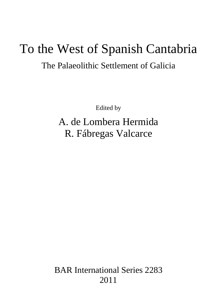# To the West of Spanish Cantabria

## The Palaeolithic Settlement of Galicia

Edited by

# A. de Lombera Hermida R. Fábregas Valcarce

BAR International Series 2283 2011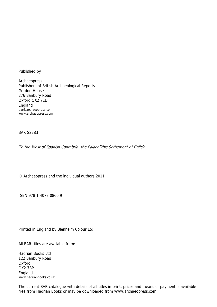Published by

Archaeopress Publishers of British Archaeological Reports Gordon House 276 Banbury Road Oxford OX2 7ED England bar@archaeopress.com www.archaeopress.com

BAR S2283

To the West of Spanish Cantabria: the Palaeolithic Settlement of Galicia

© Archaeopress and the individual authors 2011

ISBN 978 1 4073 0860 9

Printed in England by Blenheim Colour Ltd

All BAR titles are available from:

Hadrian Books Ltd 122 Banbury Road Oxford OX2 7BP England www.hadrianbooks.co.uk

The current BAR catalogue with details of all titles in print, prices and means of payment is available free from Hadrian Books or may be downloaded from www.archaeopress.com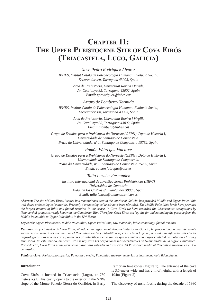### **CHAPTER 11: The Upper Pleistocene Site of Cova Eirós (Triacastela, Lugo, Galicia)**

*Xose Pedro Rodríguez Álvarez IPHES, Institut Català de Paleoecologia Humana i Evolució Social, Escorxador s/n, Tarragona 43003, Spain*

> *Area de Prehistoria, Universitat Rovira i Virgili, Av. Catalunya 35, Tarragona 43002, Spain Email: xprodriguez@iphes.cat*

> > *Arturo de Lombera-Hermida*

*IPHES, Institut Català de Paleoecologia Humana i Evolució Social, Escorxador s/n, Tarragona 43003, Spain*

> *Area de Prehistoria, Universitat Rovira i Virgili, Av. Catalunya 35, Tarragona 43002, Spain Email: alombera@iphes.cat*

*Grupo de Estudos para a Prehistoria do Noroeste (GEPN). Dpto de Historia I, Universidade de Santiago de Compostela. Praza da Universidade, nº 1. Santiago de Compostela 15782, Spain.*

*Ramón Fábregas-Valcarce*

*Grupo de Estudos para a Prehistoria do Noroeste (GEPN). Dpto de Historia I, Universidade de Santiago de Compostela. Praza da Universidade, nº 1. Santiago de Compostela 15782, Spain. Email: ramon.fabregas@usc.es*

#### *Talía Lazuén-Fernández*

*Instituto Internacional de Investigaciones Prehistóricas (IIIPC) Universidad de Cantabria Avda. de los Castros s/n. Santander 39005, Spain Email: talia.lazuen@alumnos.unican.es*

*Abstract: The site of Cova Eiros, located in a mountainous area in the interior of Galicia, has provided Middle and Upper Paleolithic well-dated archaeological materials. Presently 6 archaeological levels have been identified. The Middle Paleolithic levels have provided the largest amount of lithic and faunal remains. In this sense, in Cova Eirós we have recorded the Westernmost occupations by Neanderthal groups currently known in the Cantabrian Rim. Therefore, Cova Eiros is a key site for understanding the passage from the Middle Paleolithic to Upper Paleolithic in the NW Iberia.*

*Keywords: Upper Pleistocene, Middle Paleolithic, Upper Paleolithic, raw materials, lithic technology, faunal remains*

*Resumen: El yacimientos de Cova Eirós, situado en la región montañosa del interior de Galicia, ha proporcionado una interesante secuencia con materiales que abarcan el Paleolítico medio y Paleolítico superior. Hasta la fecha, han sido identificados seis niveles arqueológicos. Los niveles correspondientes al Paleolítico medio son los que presentan una mayor cantidad de materiales líticos y faunísticos. En este sentido, en Cova Eirós se registran las ocupaciones más occidentales de Neandertales de la región Cantábrica. Por todo ello, Cova Eirós es un yacimiento clave para entender la transición del Paleolítico medio al Paleolítico superior en el NW peninsular.*

*Palabras clave: Pleistoceno superior, Paleolítico medio, Paleolítico superior, materias primas, tecnología lítica, fauna.*

#### **Introduction**

Cova Eirós is located in Triacastela (Lugo), at 780 meters a.s.l. This cavity opens to the exterior in the NNW slope of the Monte Penedo (Serra do Ouribio), in Early Cambrian limestones (Figure 1). The entrance of the cave is 3.5-meter wide and has 2 m of height, with a length of 104m (Figure 2).

The discovery of ursid fossils during the decade of 1980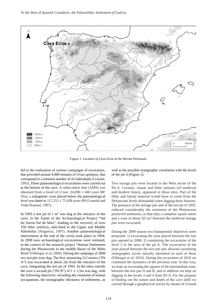

*Figure 1: Location of Cova Eirós at the Iberian Peninsula.*

led to the realization of various campaigns of excavation, that provided around 4.000 remains of *Ursus spelaeus*, that correspond to a minimal number of 43 individuals (Grandal, 1993). These palaeontological excavations were carried out at the bottom of the cave. A radiocarbon date (AMS) was obtained from a fossil of *Ursus*:  $24,090 \pm 440$  years BP. Also, a stalagmitic crust placed below the paleontological level was dated to  $117,252 \pm 75,438$  years BP (Grandal and Vidal Romaní, 1997).

In 1993 a test pit of  $1 \text{ m}^2$  was dug at the entrance of the cave, in the frame of the Archaeological Project "Val do Sarria-Val do Mao", leading to the recovery of over 550 lithic artifacts, adscribed to the Upper and Middle Paleolithic (Nogueira, 1997). Another palaeontological intervention at the end of the cavity took place in 1994. In 2008 new archaeological excavations were initiated, in the context of the research project "Human Settlement during the Pleistocene in the middle Basin of the Miño River"(Fábregas *et al*, 2009). During the campaign of 2008 two test pits were dug. The first, measuring 2x2 meters ("Pit A") was excavated at about 2m from the entrance of the cave, integrating the test pit of 1993. In the talus outside the cave a second pit ("Pit B") of 1 x 1,5m was dug, with the following objectives: recording the extension of human occupations, the stratigraphic thickness of sediments, as

well as the possible stratigraphic correlation with the levels of the pit A (Figure 2).

Two storage pits were located in the West sector of the Pit A. Ceramic, faunal and lithic remains (of medieval and modern times), appeared in these silos. Part of the lithic and faunal material would have to come from the Pleistocene levels dismantled when digging those features. The presence of the storage pits and of the test pit of 1993, reduced considerably the extension of the Pleistocene preserved sediments, so that only a complete square meter and a zone of about 50 cm2 between the medieval storage pits were excavated.

During the 2009 season two fundamental objectives were proposed: 1) excavating the zone placed between the two pits opened in 2008; 2) continuing the excavation of the level 3 in the area of the pit A. The excavation of the zone placed between the two test pits allowed correlating stratigraphic levels initially identified in each of them (Fábregas *et al,* 2010). During the excavation of 2010 we continued the dynamics of the previous year. In this way, we kept on excavating the squares of the intermediate zone, between the test pits A and B, and in addition we kept on digging in the levels 3 and 4 from Pit A. For the purpose of finding out the nature and depth of the cave infill we carried through a geophysical survey by means of Ground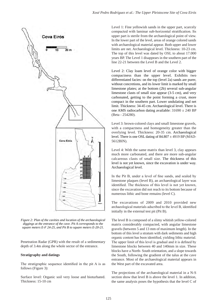

*Figure 2: Plan of the cavities and location of the archaeological diggings at the entrance of the cave. Pit A corresponds to the square meters E-F 24-25, and Pit B to square meters E-20-21.*

Penetration Radar (GPR) with the result of a sedimentary depth of 3.4m along the whole sector of the entrance.

#### **Stratigraphy and datings**

The stratigraphic sequence identified in the pit A is as follows (Figure 3):

Surface level: Organic soil very loose and bioturbated. Thickness: 15-10 cm

Level 1: Fine yellowish sands in the upper part, scarcely compacted with laminar sub-horizontal stratification. Its upper part is sterile from the archaeological point of view. In the lower part of the level, areas of orange colored sands with archaeological material appear. Both upper and lower limits are net. Archaeological level. Thickness: 10-23 cm. The top of this level was dated by OSL to about 17.000 years BP. The Level 1 disappears in the southern part of the line 22-21 between the Level B and the Level 2.

Level 2: Clay loam level of orange color with bigger compactness than the upper level. Exhibits two differentiated facies: on the top (level 2a) sands are purer, without concretions, and its lower limit is marked by small limestone plates; at the bottom (2b) several sub-angular limestone clasts of small size appear (3-5 cm), and very carbonated, getting to the point forming a crust, more compact in the southern part. Lower undulating and net limit. Thickness: 34-45 cm. Archaeological level. There is one AMS radiocarbon dating available:  $31690 \pm 240$  BP (Beta - 254280).

Level 3: brown-colored clays and small limestone gravels, with a compactness and homogeneity greater than the overlying level. Thickness: 20-35 cm. Archaeological level. There is one OSL dating of  $84.807 \pm 4919$  BP (MAD-5612BIN).

Level 4: With the same matrix than level 3, clay appears much more carbonated, and there are more sub-angular calcareous clasts of small size. The thickness of this level is not yet known, since the excavation is under way. Archaeological level.

In the Pit B, under a level of fine sands, and sealed by limestone plaques (level B), an archaeological layer was identified. The thickness of this level is not yet known, since the excavation did not reach to its bottom because of numerous lithic and bone remains (level C).

The excavations of 2009 and 2010 provided new archaeological materials adscribed to the level B, identified initially in the external test pit (Pit B).

The level B is composed of a slimy whitish yellow-colored matrix considerably compacted, with angular limestone gravels (between 5 and 13 mm of maximum length). In the bottom of this level a stratum with dark sediments and high organic content has been identified, yielding lithic material. The upper limit of this level is gradual and it is defined by limestone blocks between 40 and 140mm in size. These blocks have a North- South orientation, and a slope towards the South, following the gradient of the talus at the cave entrance. Most of the archaeological material appears in the West part of the excavated area.

The projections of the archaeological material in a N-S section show that level B is above the level 1. In addition, the same analysis poses the hypothesis that the level C of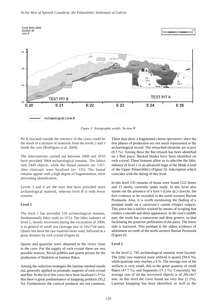

*Figure 3: Stratigraphic profile. Section W.*

Pit B (located outside the entrance of the cave) could be the result of a mixture of materials from the levels 2 and 3 inside the cave (Rodríguez *et al,* 2009).

The interventions carried out between 2008 and 2010 have provided 3964 archaeological remains. The lithics sum 2449 objects, while the faunal remains are 1357. Also charcoals were localized (n= 135). The faunal remains appear with a high degree of fragmentation, often preventing identification.

Levels 3 and 4 are the ones that have provided more archaeological material, whereas level B is with fewer remains.

#### **Level 1**

The level 1 has provided 516 archaeological remains, fundamentally lithic tools (n=371). The lithic industry of level 1, mostly recovered during the excavation of 2009, is in general of small size (average size of 19x17x8 mm). Quartz has been the raw material more used, followed at a great distance by rock crystal (Figure 4).

Quartz and quartzite were obtained in the rivers close to the cave. For the supply of rock crystal there are two possible sources: fluvial pebbles and quartz prisms for the production of bladelets or laminar flakes.

Among the reduction strategies the laminar method stands out, generally applied on prismatic supports of rock crystal and flint. In this level few cores have been localized (1.9 %). But there is great predominance of knapping products (95,2 %). Furthermore the cortical products are not common. These data show a fragmented *chaine operatoire*, since the first phases of production are not much represented in the archaeological record. The retouched elements are scarce (0.3 %). Among these the flat retouch has been identified on a flint piece. Backed blades have been identified on rock crystal. These features allow us to adscribe the lithic industry of level 1 to an advanced stage of the Mode 4 (end of the Upper Palaeolithic) (Figure 5). Adscription which coincides with the dating of this level.

In this level 135 remains of fauna were found (122 bones and 13 teeth), currently under study. In this level also stands out the presence of a lynx's (*Lynx sp*.) clavicle, the first evidence to be recorded in the north-western Iberian Peninsula. Also, it is worth mentioning the finding of a pendant made on a carnivore's canine *(Vulpes vulpes*). This piece has a surface worked by means of scraping that confers a smooth and shiny appearance. In the root's middle part, the tooth has a transverse and deep groove, so that facilitating the posterior perforation of the piece. The lower side is fractured. This pendant is the oldest evidence of adornment on tooth of the north-western Iberian Peninsula (Figure 6).

#### **Level 2**

In the level 2, 745 archaeological remains were located. The lithic raw material more utilized is quartz (94.6 %), while quartzite only reaches a 4 %. The average size of the artifacts is very small, due to the great quantity of small flakes (47.7 %), and fragments (31.1 %). Concretely, the average size of all the recovered objects is of 20x14x7 mm. In this level the cores found are very few  $(1.1\%)$ . Laminar knapping has been identified, as well as the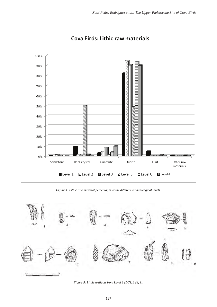

*Figure 4: Lithic raw material percentages at the different archaeological levels.*



*Figure 5: Lithic artifacts from Level 1 (1-7), B (8, 9).*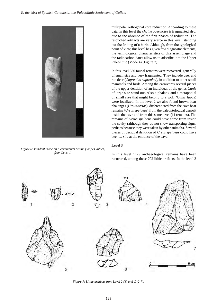

*Figure 6: Pendant made on a carnivore's canine (Vulpes vulpes) from Level 1.*

multipolar orthogonal core reduction. According to these data, in this level the *chaine operatoire* is fragmented also, due to the absence of the first phases of reduction. The retouched artifacts are very scarce in this level, standing out the finding of a burin. Although, from the typological point of view, this level has given few diagnostic elements, the technological characteristics of this assemblage and the radiocarbon dates allow us to adscribe it to the Upper Paleolithic (Mode 4) (Figure 7).

In this level 380 faunal remains were recovered, generally of small size and very fragmented. They include deer and roe deer (*Capreolus capreolus*), in addition to other small mammals and birds. Among the carnivores several pieces of the upper dentition of an individual of the genus *Canis* of large size stand out. Also a phalanx and a metapodial of small size that might belong to a wolf *(Canis lupus*) were localized. In the level 2 we also found brown bear phalanges (*Ursus arctos*), differentiated from the cave bear remains *(Ursus spelaeus*) from the paleontological deposit inside the cave and from this same level (11 remains). The remains of *Ursus spelaeus* could have come from inside the cavity (although they do not show transporting signs, perhaps because they were taken by other animals). Several pieces of decidual dentition of *Ursus spelaeus* could have been *in situ* at the entrance of the cave.

#### **Level 3**



In this level 1129 archaeological remains have been recovered, among these 702 lithic artifacts. In the level 3

*Figure 7: Lithic artifacts from Level 2 (1) and C (2-7).*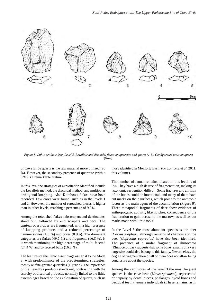

*Figure 8: Lithic artifacts from Level 3. Levallois and discoidal flakes on quartzite and quartz (1-5). Configurated tools on quartz (6-10).*

of Cova Eirós quartz is the raw material more utilized (90 %). However, the secondary presence of quartzite (with a 8 %) is a remarkable feature.

In this level the strategies of exploitation identified include the Levallois method, the discoidal method, and multipolar orthogonal knapping. Also Kombewa flakes have been recorded. Few cores were found, such as in the levels 1 and 2. However, the number of retouched pieces is higher than in other levels, reaching a percentage of 9.9%.

Among the retouched flakes sidescrapers and denticulates stand out, followed by end scrapers and becs. The *chaines operatoires* are fragmented, with a high presence of knapping products and a reduced percentage of hammerstones (1.8 %) and cores (0.9%). The dominant categories are flakes (49.5 %) and fragments (16.8 %). It is worth mentioning the high percentage of multi-faceted (24.4 %) and bi-faceted butts (16.3 %).

The features of this lithic assemblage assign it to the Mode 3, with predominance of the predetermined strategies, mostly on fine-grained quartzites (Figure 8). The importance of the Levallois products stands out, contrasting with the scarcity of discoidal products, normally linked to the lithic assemblages based on the exploitation of quartz, such us those identified in Monforte Basin (de Lombera *et al*, 2011, this volume).

The number of faunal remains located in this level is of 395.They have a high degree of fragmentation, making its taxonomic recognition difficult. Some fractures and attrition of the bones could be intentional, and many of them have cut marks on their surfaces, which point to the anthropic factor as the main agent of the accumulation (Figure 9). Three metapodial fragments of deer show evidence of anthropogenic activity, like notches, consequence of the fracturation to gain access to the marrow, as well as cut marks made with lithic tools.

In the Level 3 the most abundant species is the deer (*Cervus elaphus*), although remains of chamois and roe deer (*Capreolus capreolus*) have also been identified. The presence of a molar fragment of rhinoceros (Rhinocerotidae) suggests that some bone remains of a very large size could also belong to this family. Nevertheless, the degree of fragmentation of all of them does not allow being conclusive about the species.

Among the carnivores of the level 3 the most frequent species is the cave bear (*Ursus spelaeus*), represented principally by dental pieces, phalanges, hyoid bones and decidual teeth (neonate individuals).These remains, as in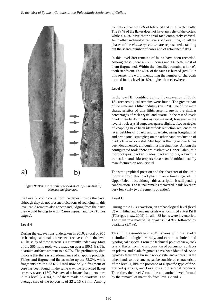

*Figure 9: Bones with anthropic evidences. a) Cutmarks. b) Notches and fractures.* 

the Level 2, could come from the deposit inside the cave, although they do not present indications of rounding. In this level canid remains also appear and judging from their size they would belong to wolf *(Canis lupus)*, and fox *(Vulpes vulpes*).

#### **Level 4**

During the excavations undertaken in 2010, a total of 955 archaeological remains have been recovered from the level 4. The study of these materials is currently under way. Most of the 566 lithic tools were made on quartz (90.1 %). The quartzite artifacts amount to a 9.7%. The preliminary data indicate that there is a predominance of knapping products. Flakes and fragmented flakes make up the 72.8%, while fragments are the 23.6%. Until now only a fragment of core has been found. In the same way, the retouched flakes are very scarce (1 %). We have also located hammerstones in this level (2.4 %), all of them made on quartzite. The average size of the objects is of 23 x 16 x 8mm. Among

the flakes there are 12% of bifaceted and multifaceted butts. The 89 % of the flakes does not have any relic of the cortex, while a 4.3% have their dorsal face completely cortical. As in other archaeological levels of Cova Eirós, not all the phases of the *chaine operatoire* are represented, standing out the scarce number of cores and of retouched flakes.

In this level 309 remains of fauna have been recorded. Among these, there are 295 bones and 14 teeth, most of them fragmented. Within the identified remains a horse's tooth stands out. The 4.2% of the fauna is burned (n=13). In this sense, it is worth mentioning the number of charcoals located in this level (n=80), higher than elsewhere.

#### **Level B**

In the level B, identified during the excavation of 2009, 131 archaeological remains were found. The greater part of the material is lithic industry ( $n= 128$ ). One of the main characteristics of this lithic assemblage is the similar percentages of rock crystal and quartz. In the rest of levels quartz clearly dominates as raw material; however in the level B rock crystal surpasses quartz slightly. Two strategies of knapping have been identified: reduction sequences on river pebbles of quartz and quartzite, using longitudinal and orthogonal strategies; on the other hand production of bladelets in rock crystal. Also bipolar flaking on quartz has been documented, although in a marginal way. Among the configurated tools there are distinctive Upper Paleolithic morphotypes: backed blades, backed points, a burin, a truncation, and sidescrapers have been identified, usually manufactured on rock crystal.

The stratigraphical position and the character of the lithic industry from this level place it on a final stage of the Upper Paleolithic, although this adscription is still pending confirmation. The faunal remains recovered in this level are very few (only two fragments of antler).

#### **Level C**

During the 2008 excavation, an archaeological level (level C) with lithic and bone materials was identified at test Pit B (Fábregas *et al.,* 2009). In all, 488 items were inventoried. The main raw material is quartz (93.4 %), followed by quartzite (3.7 %).

This lithic assemblage (n=349) shares with the level 2 a similar lithological variety, and certain technical and typological aspects. From the technical point of view, rock crystal flakes from the rejuvenation of percussion surfaces on prisms, and blade fragments have been identified. As to typology there are a burin in rock crystal and a borer. On the other hand, some elements can be considered characteristic of the level 3, like the presence of a specific type of finegrained quartzite, and Levallois and discoidal products. Therefore, the level C could be a disturbed level, formed by the removal of materials from levels 2 and 3.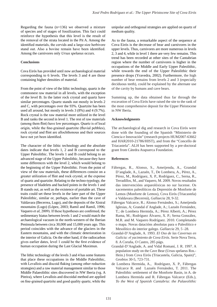Regarding the fauna (n=136) we observed a mixture of species and of stages of fossilization. This fact could reinforce the hypothesis that this level is the result of the removal of the strata located in the Pit A. Among the identified materials, the cervids and a large-size herbivore stand out. Also a bovine remain have been identified. Among the carnivores only *Ursus spelaeus* occurs.

#### **Conclusions**

Cova Eirós has provided until now archaeological material corresponding to 6 levels. The levels 3 and 4 are those containing higher densities of material.

From the point of view of the lithic technology, quartz is the commonest raw material in all levels, with the exception of the level B. In the latter rock crystal and quartz have similar percentages. Quartz stands out mostly in levels 2 and C, with percentages over the 93%. Quartzite has been used all around, but mostly in levels 3 (8%) and 4 (9.7%). Rock crystal is the raw material more utilized in the level B and ranks the second in level 1. The rest of raw materials (among them flint) have low percentages. Quartz is of local origin, while the fine-grained quartzite (fluvial pebbles), rock crystal and flint are allochthonous and their sources have not yet been identified.

The character of the lithic technology and the absolute dates indicate that levels 1, 2 and B correspond to the Upper Paleolithic. The levels 1 and B could belong to an advanced stage of the Upper Paleolithic, because they have some differences with the level 2, which would belong to the beginning of the Upper Paleolithic. From the point of view of the raw materials, these differences consist on a greater utilization of flint and rock crystal, at the expense of quartz and quartzite. Relating to the techno-typology, the presence of bladelets and backed points in the levels 1 and B stands out, as well as the existence of portable art. These traits could set these levels in the later part of the Upper Paleolithic, similar or, perhaps, earlier than the cave of Valdavara (Becerrea, Lugo), and the deposits of the Xistral mountains (Lugo) (López, 2003; Ramil and Ramil, 1996; Vaquero *et al*, 2009). If these hypotheses are confirmed, the sedimentary hiatus between levels 1 and 2 would match the archaeological vacuum in the north-western of the Iberian Peninsula between circa 30,000 and 15,000 years ago. This period coincides with the advance of the glaciers in the Eastern mountains, and with the climatic deterioration in the interior of Galicia. On the other hand, if the radiocarbon gives earlier dates, level 1 could be the first evidence of human occupation during the Last Glacial Maximun.

The lithic technology of the levels 3 and 4 has some features that place these occupations in the Middle Paleolithic, with Levallois and discoid flaking (among other reduction strategies) and a raw material management similar to those Middle Palaeolithic sites discovered in NW Iberia (vg. A Piteira), where Levallois and discoidal method are applied on fine-grained quartzite and good quality quartz, while the unipolar and orthogonal strategies are applied on quartz of medium quality.

As to the fauna, a remarkable aspect of the sequence at Cova Eirós is the decrease of bear and carnivores in the upper levels. Thus, carnivores are more numerous in levels 2, 3 and 4, while in level 1 there are very few remains. This trend has been recorded at other sites of the Cantabrian region where the number of carnivores is higher in the occupations of the Middle and Early Upper Paleolithic, while towards the end of the Upper Paleolithic their presence drops (Yravedra, 2002). Furthermore, the high number of bear remains from levels 2 and 3 (especially deciduous teeth), could be explained by the alternate use of the cavity by humans and cave bears.

Summing up, the data obtained thus far through the excavation of Cova Eirós have raised the site to the rank of the most comprehensive deposit for the Upper Pleistocene in NW Iberia.

#### **Acknowledgments**

The archaeological dig and research in Cova Eirós were done with the founding of the Spanish "Ministerio de Ciencia e Innovación" (research projects HUM2007-63662 and HAR2010-21786/HIST), and from the "Concello de Triacastela". ALH has been supported by a pre-doctoral grant from Cátedra Atapuerca Foundation.

#### **References**

- Fábregas, R., Alonso, S., Ameijenda, A., Grandal D'anglade, A., Lazuén, T., De Lombera, A., Pérez, A., Pérez, M., Rodríguez, X. P., Rodríguez, C., Serna, R., Terradillos, M., and Vaquero, M. 2009. Novos resultados das intervencións arqueolóxicas no sur lucense. Os xacementos paleolíticos da Depresión de Monforte de Lemos (Monforte de Lemos), Cova Eirós (Triacastela) e Valdavara (Becerreá), *Gallaecia* 28, 9-32.
- Fábregas Valcarce, R.; Alonso Fernández, S.; Ameijenda Iglesias, A; Grandal d´Anglade, A.; Lazuén Fernández, T.; de Lombera Hermida, A.; Pérez Alberti, A.; Pérez Rama, M.; Rodríguez Álvarez, X. P.; Serna González, M.R. and M. Vaquero Rodríguez. 2010. Completando o mapa. Novas datacións absolutas para o Paleolítico e Mesolítico do interior galego. *Gallaecia* 29, 5 -28.
- Grandal-D'Anglade, A. 1993. *El Oso de las Cavernas en Galicia: el yacimiento de Cova Eirós*. Serie Nova Terra, 8. A Coruña, O Castro, 285 págs.
- Grandal-D'Anglade, A. and Vidal Romaní, J. R. 1997. A population study on the Cave Bear (Ursus spelaeus Ros.- Hein.) from Cova Eirós (Triacastela, Galicia, Spain)", *Geobios* 30-5, 723-731.
- de Lombera Hermida, A., Rodríguez, X. P., Fábregas Valcarce R. and Lazuén Fernández, T. 2011. The Paleolithic settlement of the Monforte Basin, in A. de Lombera Hermida and R. Fábregas Valcarce (Eds.), *To the West of Spanish Cantabria: the Palaeolithic*